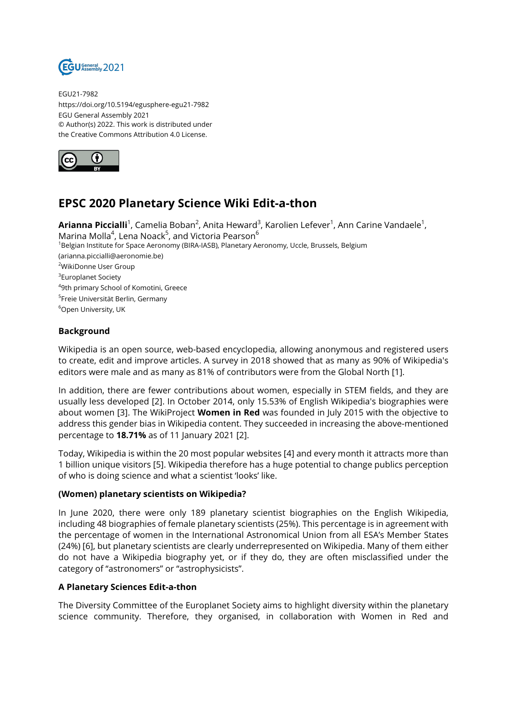

EGU21-7982 https://doi.org/10.5194/egusphere-egu21-7982 EGU General Assembly 2021 © Author(s) 2022. This work is distributed under the Creative Commons Attribution 4.0 License.



# **EPSC 2020 Planetary Science Wiki Edit-a-thon**

**Arianna Piccialli**<sup>1</sup>, Camelia Boban<sup>2</sup>, Anita Heward<sup>3</sup>, Karolien Lefever<sup>1</sup>, Ann Carine Vandaele<sup>1</sup>, Marina Molla $^4$ , Lena Noack $^5$ , and Victoria Pearson $^6$ <sup>1</sup>Belgian Institute for Space Aeronomy (BIRA-IASB), Planetary Aeronomy, Uccle, Brussels, Belgium (arianna.piccialli@aeronomie.be) <sup>2</sup>WikiDonne User Group <sup>3</sup>Europlanet Society 4 9th primary School of Komotini, Greece <sup>5</sup>Freie Universität Berlin, Germany <sup>6</sup>Open University, UK

### **Background**

Wikipedia is an open source, web-based encyclopedia, allowing anonymous and registered users to create, edit and improve articles. A survey in 2018 showed that as many as 90% of Wikipedia's editors were male and as many as 81% of contributors were from the Global North [1].

In addition, there are fewer contributions about women, especially in STEM fields, and they are usually less developed [2]. In October 2014, only 15.53% of English Wikipedia's biographies were about women [3]. The WikiProject **Women in Red** was founded in July 2015 with the objective to address this gender bias in Wikipedia content. They succeeded in increasing the above-mentioned percentage to **18.71%** as of 11 January 2021 [2].

Today, Wikipedia is within the 20 most popular websites [4] and every month it attracts more than 1 billion unique visitors [5]. Wikipedia therefore has a huge potential to change publics perception of who is doing science and what a scientist 'looks' like.

#### **(Women) planetary scientists on Wikipedia?**

In June 2020, there were only 189 planetary scientist biographies on the English Wikipedia, including 48 biographies of female planetary scientists (25%). This percentage is in agreement with the percentage of women in the International Astronomical Union from all ESA's Member States (24%) [6], but planetary scientists are clearly underrepresented on Wikipedia. Many of them either do not have a Wikipedia biography yet, or if they do, they are often misclassified under the category of "astronomers" or "astrophysicists".

#### **A Planetary Sciences Edit-a-thon**

The Diversity Committee of the Europlanet Society aims to highlight diversity within the planetary science community. Therefore, they organised, in collaboration with Women in Red and